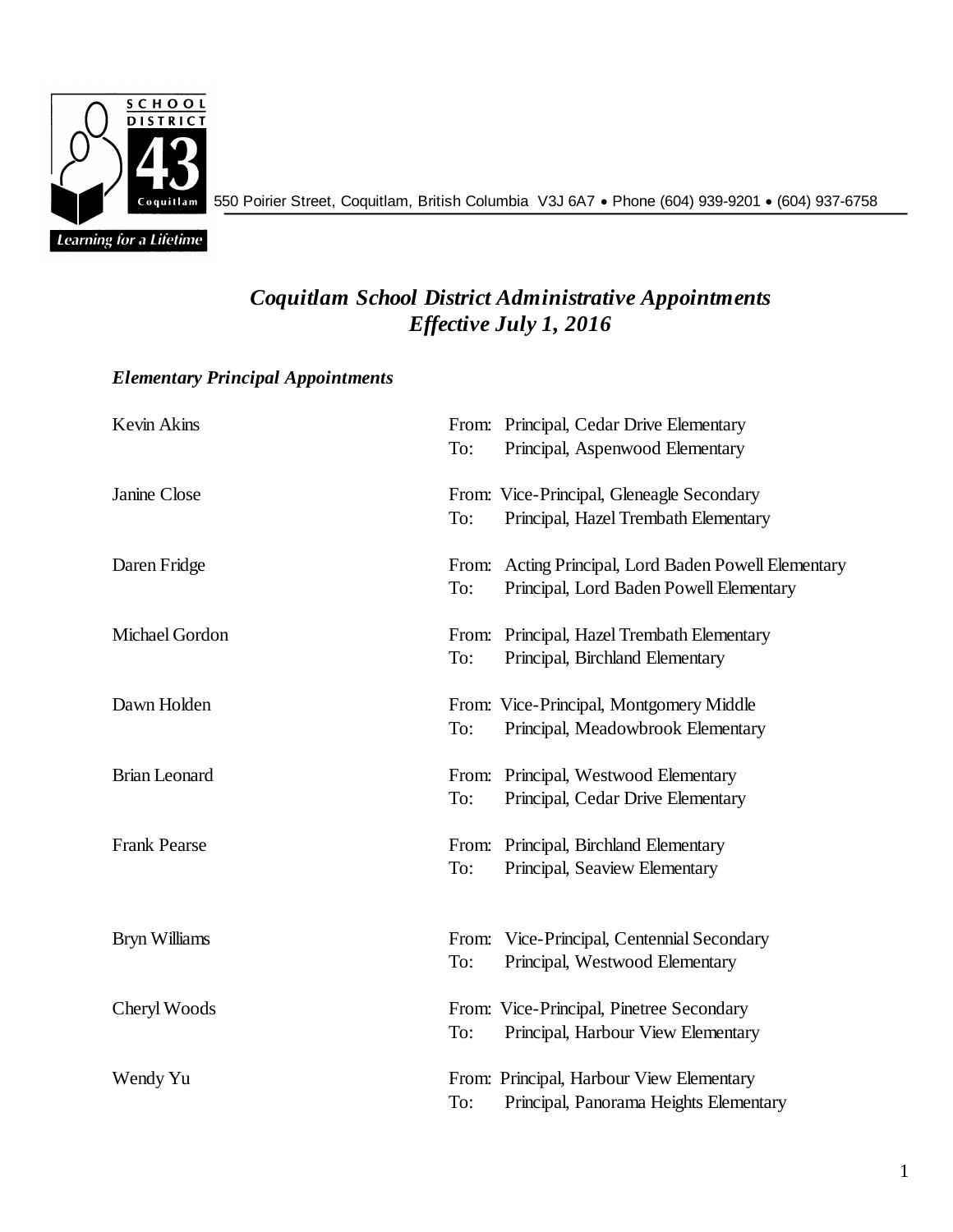

550 Poirier Street, Coquitlam, British Columbia V3J 6A7 Phone (604) 939-9201 (604) 937-6758

## *Coquitlam School District Administrative Appointments Effective July 1, 2016*

## *Elementary Principal Appointments*

| Kevin Akins          | To: | From: Principal, Cedar Drive Elementary<br>Principal, Aspenwood Elementary                      |
|----------------------|-----|-------------------------------------------------------------------------------------------------|
| Janine Close         | To: | From: Vice-Principal, Gleneagle Secondary<br>Principal, Hazel Trembath Elementary               |
| Daren Fridge         | To: | From: Acting Principal, Lord Baden Powell Elementary<br>Principal, Lord Baden Powell Elementary |
| Michael Gordon       | To: | From: Principal, Hazel Trembath Elementary<br>Principal, Birchland Elementary                   |
| Dawn Holden          | To: | From: Vice-Principal, Montgomery Middle<br>Principal, Meadowbrook Elementary                    |
| <b>Brian Leonard</b> | To: | From: Principal, Westwood Elementary<br>Principal, Cedar Drive Elementary                       |
| <b>Frank Pearse</b>  | To: | From: Principal, Birchland Elementary<br>Principal, Seaview Elementary                          |
| <b>Bryn Williams</b> | To: | From: Vice-Principal, Centennial Secondary<br>Principal, Westwood Elementary                    |
| Cheryl Woods         | To: | From: Vice-Principal, Pinetree Secondary<br>Principal, Harbour View Elementary                  |
| Wendy Yu             | To: | From: Principal, Harbour View Elementary<br>Principal, Panorama Heights Elementary              |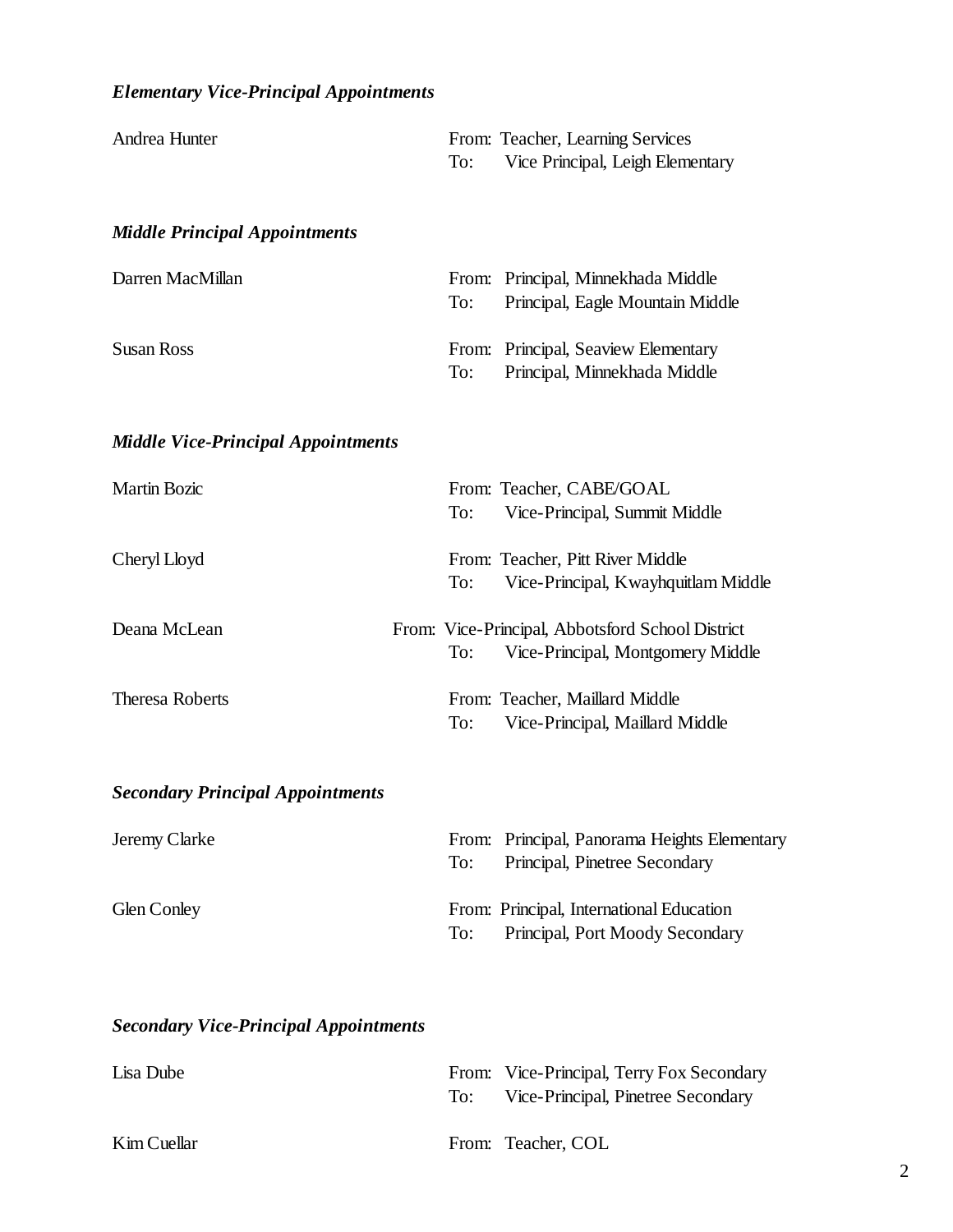| Andrea Hunter                             | To: | From: Teacher, Learning Services<br>Vice Principal, Leigh Elementary                  |
|-------------------------------------------|-----|---------------------------------------------------------------------------------------|
| <b>Middle Principal Appointments</b>      |     |                                                                                       |
| Darren MacMillan                          | To: | From: Principal, Minnekhada Middle<br>Principal, Eagle Mountain Middle                |
| <b>Susan Ross</b>                         | To: | From: Principal, Seaview Elementary<br>Principal, Minnekhada Middle                   |
| <b>Middle Vice-Principal Appointments</b> |     |                                                                                       |
| <b>Martin Bozic</b>                       | To: | From: Teacher, CABE/GOAL<br>Vice-Principal, Summit Middle                             |
| Cheryl Lloyd                              | To: | From: Teacher, Pitt River Middle<br>Vice-Principal, Kwayhquitlam Middle               |
| Deana McLean                              | To: | From: Vice-Principal, Abbotsford School District<br>Vice-Principal, Montgomery Middle |
| <b>Theresa Roberts</b>                    | To: | From: Teacher, Maillard Middle<br>Vice-Principal, Maillard Middle                     |
| <b>Secondary Principal Appointments</b>   |     |                                                                                       |
| Jeremy Clarke                             | To: | From: Principal, Panorama Heights Elementary<br>Principal, Pinetree Secondary         |
| <b>Glen Conley</b>                        | To: | From: Principal, International Education<br>Principal, Port Moody Secondary           |
|                                           |     |                                                                                       |

## *Secondary Vice-Principal Appointments*

| Lisa Dube   | From: Vice-Principal, Terry Fox Secondary<br>To: Vice-Principal, Pinetree Secondary |
|-------------|-------------------------------------------------------------------------------------|
| Kim Cuellar | From: Teacher, COL                                                                  |